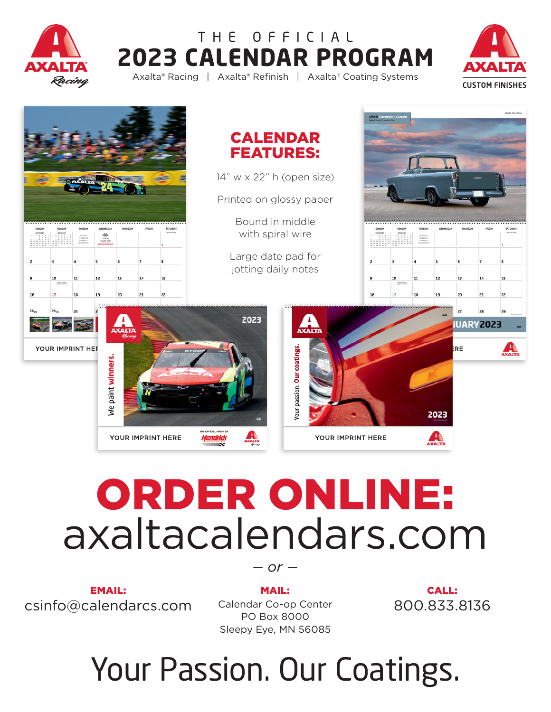

### **2023 CALENDAR PROGRAM** Axalta® Racing | Axalta® Refinish | Axalta® Coating Systems THE OFFICIAL





# ORDER ONLINE: axaltacalendars.com

EMAIL: csinfo@calendarcs.com  $-$  or  $-$ 

MAIL: Calendar Co-op Center PO Box 8000 Sleepy Eye, MN 56085

CALL: 800.833.8136

## Your Passion. Our Coatings.